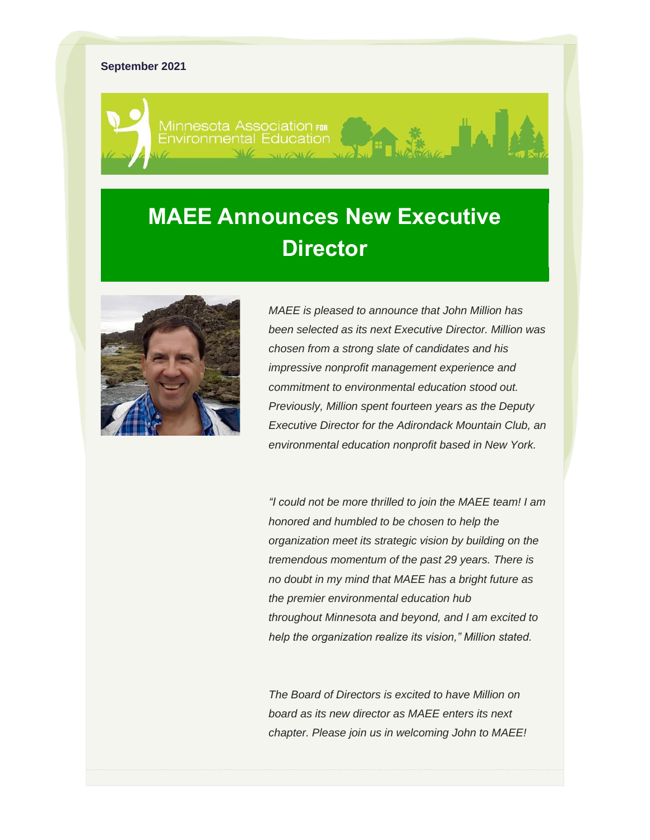#### **September 2021**



# **MAEE Announces New Executive Director**



*MAEE is pleased to announce that John Million has been selected as its next Executive Director. Million was chosen from a strong slate of candidates and his impressive nonprofit management experience and commitment to environmental education stood out. Previously, Million spent fourteen years as the Deputy Executive Director for the Adirondack Mountain Club, an environmental education nonprofit based in New York.*

*"I could not be more thrilled to join the MAEE team! I am honored and humbled to be chosen to help the organization meet its strategic vision by building on the tremendous momentum of the past 29 years. There is no doubt in my mind that MAEE has a bright future as the premier environmental education hub throughout Minnesota and beyond, and I am excited to help the organization realize its vision," Million stated.*

*The Board of Directors is excited to have Million on board as its new director as MAEE enters its next chapter. Please join us in welcoming John to MAEE!*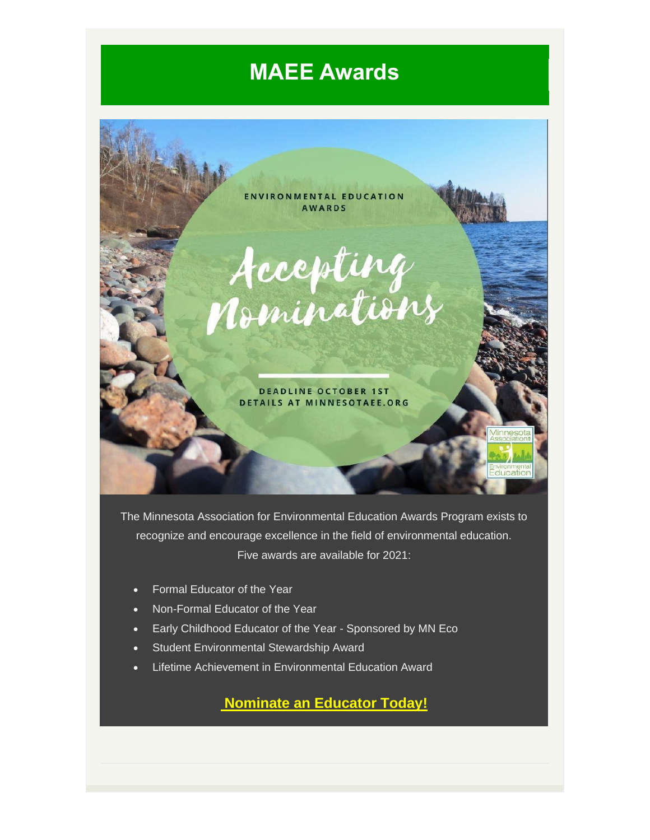### **MAEE Awards**

ENVIRONMENTAL EDUCATION **AWARDS** 



**DEADLINE OCTOBER 1ST DETAILS AT MINNESOTAEE.ORG** 

The Minnesota Association for Environmental Education Awards Program exists to recognize and encourage excellence in the field of environmental education. Five awards are available for 2021:

- Formal Educator of the Year
- Non-Formal Educator of the Year
- Early Childhood Educator of the Year Sponsored by MN Eco
- **Student Environmental Stewardship Award**
- Lifetime Achievement in Environmental Education Award

**[Nominate an Educator Today!](https://minnesotaee.org/what-we-do/events/awards/)**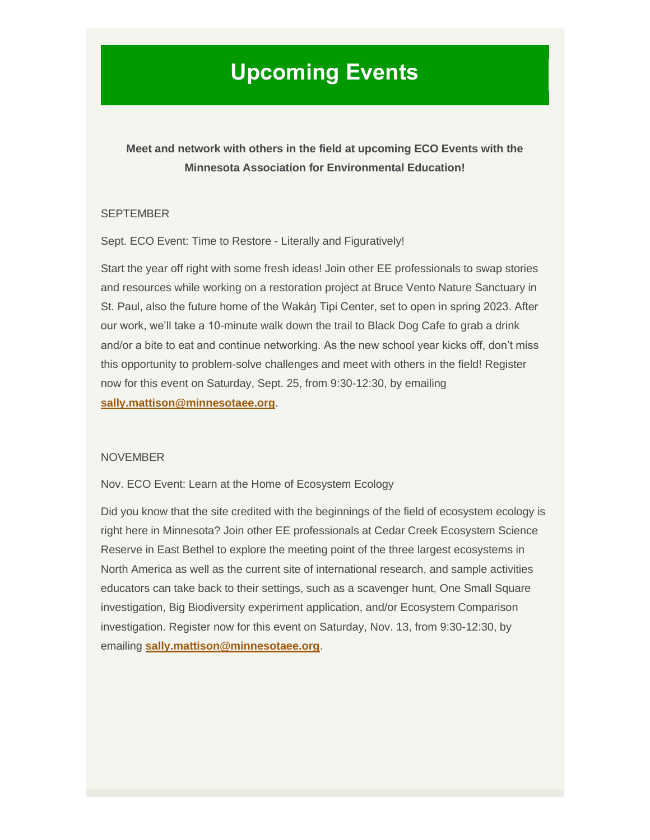## **Upcoming Events**

### **Meet and network with others in the field at upcoming ECO Events with the Minnesota Association for Environmental Education!**

#### SEPTEMBER

Sept. ECO Event: Time to Restore - Literally and Figuratively!

Start the year off right with some fresh ideas! Join other EE professionals to swap stories and resources while working on a restoration project at Bruce Vento Nature Sanctuary in St. Paul, also the future home of the Wakán Tipi Center, set to open in spring 2023. After our work, we'll take a 10-minute walk down the trail to Black Dog Cafe to grab a drink and/or a bite to eat and continue networking. As the new school year kicks off, don't miss this opportunity to problem-solve challenges and meet with others in the field! Register now for this event on Saturday, Sept. 25, from 9:30-12:30, by emailing **[sally.mattison@minnesotaee.org](mailto:sally.mattison@minnesotaee.org)**.

#### NOVEMBER

Nov. ECO Event: Learn at the Home of Ecosystem Ecology

Did you know that the site credited with the beginnings of the field of ecosystem ecology is right here in Minnesota? Join other EE professionals at Cedar Creek Ecosystem Science Reserve in East Bethel to explore the meeting point of the three largest ecosystems in North America as well as the current site of international research, and sample activities educators can take back to their settings, such as a scavenger hunt, One Small Square investigation, Big Biodiversity experiment application, and/or Ecosystem Comparison investigation. Register now for this event on Saturday, Nov. 13, from 9:30-12:30, by emailing **[sally.mattison@minnesotaee.org](mailto:sally.mattison@minnesotaee.org)**.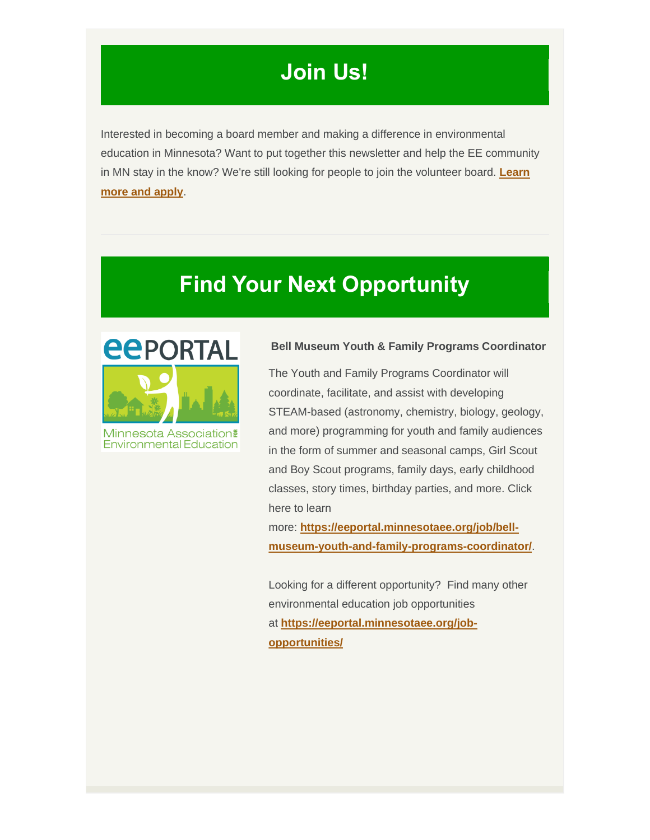## **Join Us!**

Interested in becoming a board member and making a difference in environmental education in Minnesota? Want to put together this newsletter and help the EE community in MN stay in the know? We're still looking for people to join the volunteer board. **[Learn](https://minnesotaee.org/connect-with-us/board-members/join/)  [more and apply](https://minnesotaee.org/connect-with-us/board-members/join/)**.

# **Find Your Next Opportunity**



**Minnesota Association Environmental Education** 

#### **Bell Museum Youth & Family Programs Coordinator**

The Youth and Family Programs Coordinator will coordinate, facilitate, and assist with developing STEAM-based (astronomy, chemistry, biology, geology, and more) programming for youth and family audiences in the form of summer and seasonal camps, Girl Scout and Boy Scout programs, family days, early childhood classes, story times, birthday parties, and more. Click here to learn

more: **[https://eeportal.minnesotaee.org/job/bell](https://eeportal.minnesotaee.org/job/bell-museum-youth-and-family-programs-coordinator/)[museum-youth-and-family-programs-coordinator/](https://eeportal.minnesotaee.org/job/bell-museum-youth-and-family-programs-coordinator/)**.

Looking for a different opportunity? Find many other environmental education job opportunities at **[https://eeportal.minnesotaee.org/job](https://eeportal.minnesotaee.org/job-opportunities/)[opportunities/](https://eeportal.minnesotaee.org/job-opportunities/)**